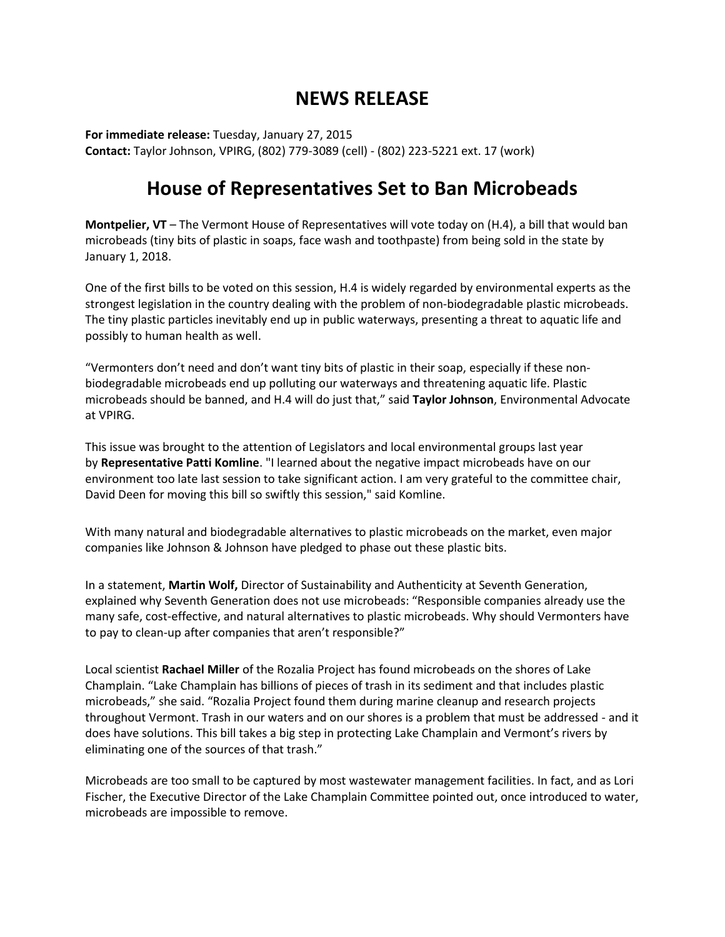## **NEWS RELEASE**

**For immediate release:** Tuesday, January 27, 2015 **Contact:** Taylor Johnson, VPIRG, (802) 779-3089 (cell) - (802) 223-5221 ext. 17 (work)

## **House of Representatives Set to Ban Microbeads**

**Montpelier, VT** – The Vermont House of Representatives will vote today on (H.4), a bill that would ban microbeads (tiny bits of plastic in soaps, face wash and toothpaste) from being sold in the state by January 1, 2018.

One of the first bills to be voted on this session, H.4 is widely regarded by environmental experts as the strongest legislation in the country dealing with the problem of non-biodegradable plastic microbeads. The tiny plastic particles inevitably end up in public waterways, presenting a threat to aquatic life and possibly to human health as well.

"Vermonters don't need and don't want tiny bits of plastic in their soap, especially if these nonbiodegradable microbeads end up polluting our waterways and threatening aquatic life. Plastic microbeads should be banned, and H.4 will do just that," said **Taylor Johnson**, Environmental Advocate at VPIRG.

This issue was brought to the attention of Legislators and local environmental groups last year by **Representative Patti Komline**. "I learned about the negative impact microbeads have on our environment too late last session to take significant action. I am very grateful to the committee chair, David Deen for moving this bill so swiftly this session," said Komline.

With many natural and biodegradable alternatives to plastic microbeads on the market, even major companies like Johnson & Johnson have pledged to phase out these plastic bits.

In a statement, **Martin Wolf,** Director of Sustainability and Authenticity at Seventh Generation, explained why Seventh Generation does not use microbeads: "Responsible companies already use the many safe, cost-effective, and natural alternatives to plastic microbeads. Why should Vermonters have to pay to clean-up after companies that aren't responsible?"

Local scientist **Rachael Miller** of the Rozalia Project has found microbeads on the shores of Lake Champlain. "Lake Champlain has billions of pieces of trash in its sediment and that includes plastic microbeads," she said. "Rozalia Project found them during marine cleanup and research projects throughout Vermont. Trash in our waters and on our shores is a problem that must be addressed - and it does have solutions. This bill takes a big step in protecting Lake Champlain and Vermont's rivers by eliminating one of the sources of that trash."

Microbeads are too small to be captured by most wastewater management facilities. In fact, and as Lori Fischer, the Executive Director of the Lake Champlain Committee pointed out, once introduced to water, microbeads are impossible to remove.